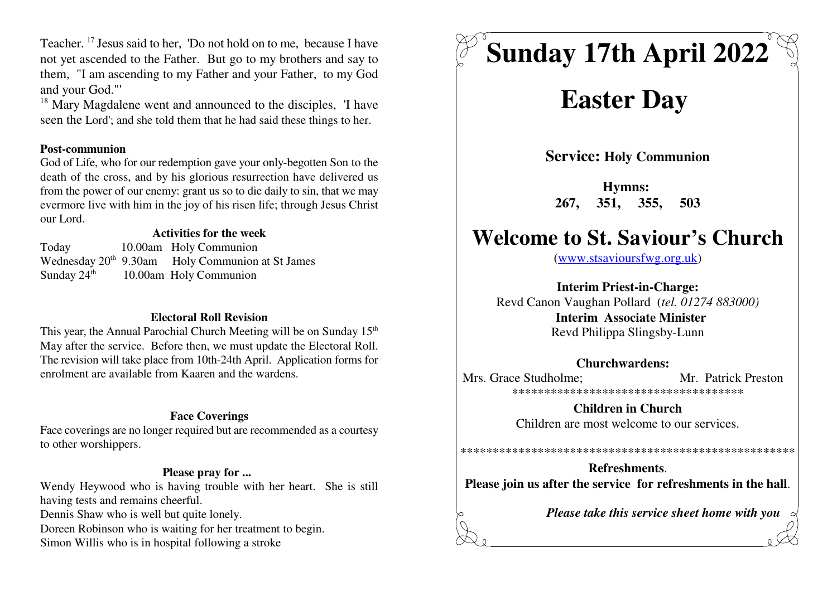Teacher.<sup>17</sup> Jesus said to her, 'Do not hold on to me, because I have not yet ascended to the Father. But go to my brothers and say to them, "I am ascending to my Father and your Father, to my Godand your God."'

 $^{18}$  Mary Magdalene went and announced to the disciples, 'I have seen the Lord'; and she told them that he had said these things to her.

#### **Post-communion**

 God of Life, who for our redemption gave your only-begotten Son to the death of the cross, and by his glorious resurrection have delivered us from the power of our enemy: grant us so to die daily to sin, that we may evermore live with him in the joy of his risen life; through Jesus Christour Lord.

### **Activities for the week**

 Today 10.00am Holy Communion Wednesday  $20<sup>th</sup>$  9.30am Holy Communion at St James Sunday  $24<sup>th</sup>$  10.00am Holy Communion

### **Electoral Roll Revision**

This year, the Annual Parochial Church Meeting will be on Sunday 15<sup>th</sup> May after the service. Before then, we must update the Electoral Roll. The revision will take place from 10th-24th April. Application forms forenrolment are available from Kaaren and the wardens.

### **Face Coverings**

 Face coverings are no longer required but are recommended as a courtesyto other worshippers.

### **Please pray for ...**

Wendy Heywood who is having trouble with her heart. She is stillhaving tests and remains cheerful.Dennis Shaw who is well but quite lonely.Doreen Robinson who is waiting for her treatment to begin.

Simon Willis who is in hospital following a stroke

# **Sunday 17th April 2022**

## **Easter Day**

**Service: Holy Communion**

**Hymns: 267, 351, 355, 503**

### **Welcome to St. Saviour's Church**

(www.stsavioursfwg.org.uk)

**Interim Priest-in-Charge:**

 Revd Canon Vaughan Pollard (*tel. 01274 883000)* **Interim Associate Minister**Revd Philippa Slingsby-Lunn

### **Churchwardens:**

Mrs. Grace Studholme: Mr. Patrick Preston \*\*\*\*\*\*\*\*\*\*\*\*\*\*\*\*\*\*\*\*\*\*\*\*\*\*\*\*\*\*\*\*\*\*\*\*

> **Children in Church**Children are most welcome to our services.

**Refreshments**.**Please join us after the service for refreshments in the hall**.

\*\*\*\*\*\*\*\*\*\*\*\*\*\*\*\*\*\*\*\*\*\*\*\*\*\*\*\*\*\*\*\*\*\*\*\*\*\*\*\*\*\*\*\*\*\*\*\*\*\*\*\*

*Please take this service sheet home with you*